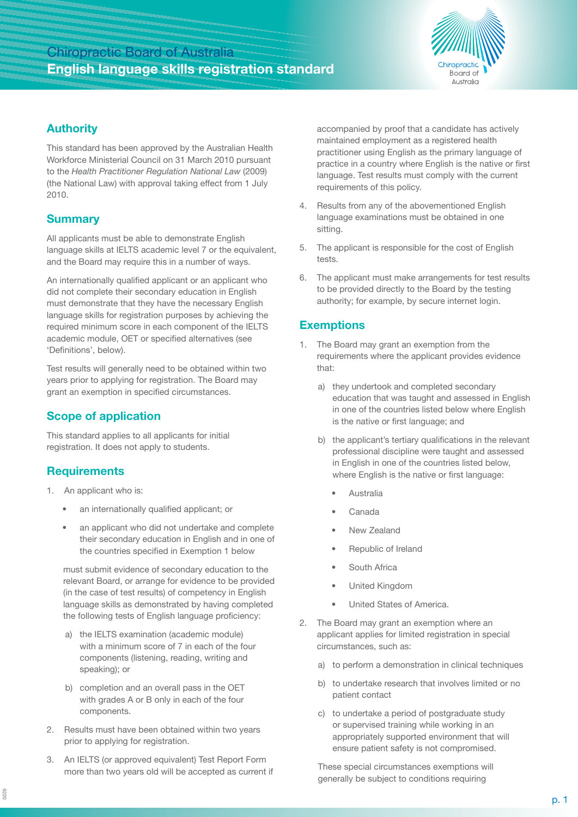# Chiropractic Board of Australia **English language skills registration standard**



### **Authority**

This standard has been approved by the Australian Health Workforce Ministerial Council on 31 March 2010 pursuant to the *Health Practitioner Regulation National Law* (2009) (the National Law) with approval taking effect from 1 July 2010.

### **Summary**

All applicants must be able to demonstrate English language skills at IELTS academic level 7 or the equivalent, and the Board may require this in a number of ways.

An internationally qualified applicant or an applicant who did not complete their secondary education in English must demonstrate that they have the necessary English language skills for registration purposes by achieving the required minimum score in each component of the IELTS academic module, OET or specified alternatives (see 'Definitions', below).

Test results will generally need to be obtained within two years prior to applying for registration. The Board may grant an exemption in specified circumstances.

# **Scope of application**

This standard applies to all applicants for initial registration. It does not apply to students.

# **Requirements**

- 1. An applicant who is:
	- an internationally qualified applicant; or
	- an applicant who did not undertake and complete their secondary education in English and in one of the countries specified in Exemption 1 below

must submit evidence of secondary education to the relevant Board, or arrange for evidence to be provided (in the case of test results) of competency in English language skills as demonstrated by having completed the following tests of English language proficiency:

- a) the IELTS examination (academic module) with a minimum score of 7 in each of the four components (listening, reading, writing and speaking); or
- b) completion and an overall pass in the OET with grades A or B only in each of the four components.
- 2. Results must have been obtained within two years prior to applying for registration.
- 3. An IELTS (or approved equivalent) Test Report Form more than two years old will be accepted as current if

accompanied by proof that a candidate has actively maintained employment as a registered health practitioner using English as the primary language of practice in a country where English is the native or first language. Test results must comply with the current requirements of this policy.

- 4. Results from any of the abovementioned English language examinations must be obtained in one sitting.
- 5. The applicant is responsible for the cost of English tests.
- 6. The applicant must make arrangements for test results to be provided directly to the Board by the testing authority; for example, by secure internet login.

#### **Exemptions**

- 1. The Board may grant an exemption from the requirements where the applicant provides evidence that:
	- a) they undertook and completed secondary education that was taught and assessed in English in one of the countries listed below where English is the native or first language; and
	- b) the applicant's tertiary qualifications in the relevant professional discipline were taught and assessed in English in one of the countries listed below, where English is the native or first language:
		- **Australia**
		- Canada
		- New Zealand
		- Republic of Ireland
		- South Africa
		- United Kingdom
		- United States of America.
- 2. The Board may grant an exemption where an applicant applies for limited registration in special circumstances, such as:
	- a) to perform a demonstration in clinical techniques
	- b) to undertake research that involves limited or no patient contact
	- c) to undertake a period of postgraduate study or supervised training while working in an appropriately supported environment that will ensure patient safety is not compromised.

These special circumstances exemptions will generally be subject to conditions requiring